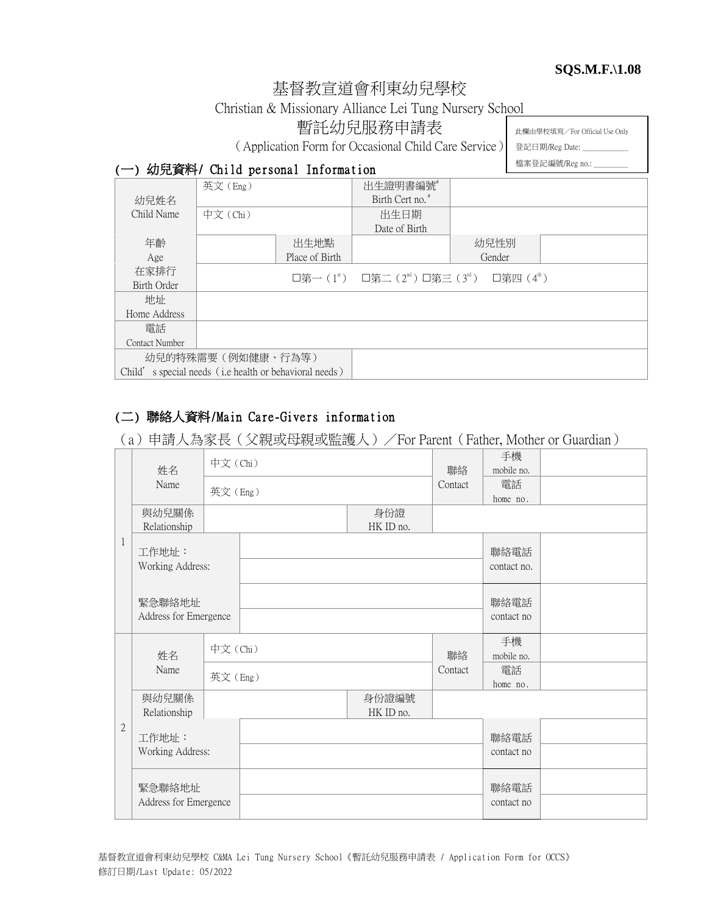#### **SQS.M.F.\1.08**

# 基督教宣道會利東幼兒學校

Christian & Missionary Alliance Lei Tung Nursery School

暫託幼兒服務申請表

(Application Form for Occasional Child Care Service)

此欄由學校填寫/For Official Use Only

登記日期/Reg Date: \_ 檔案登記編號/Reg no.: \_\_\_\_\_\_\_\_\_

### (一) 幼兒資料/ Child personal Information

|                                                        | 英文(Eng)  |                | 出生證明書編號                                                                                |        |  |
|--------------------------------------------------------|----------|----------------|----------------------------------------------------------------------------------------|--------|--|
| 幼兒姓名                                                   |          |                | Birth Cert no. <sup>#</sup>                                                            |        |  |
| Child Name                                             | 中文 (Chi) |                | 出生日期                                                                                   |        |  |
|                                                        |          |                | Date of Birth                                                                          |        |  |
| 年齡                                                     |          | 出生地點           |                                                                                        | 幼兒性別   |  |
| Age                                                    |          | Place of Birth |                                                                                        | Gender |  |
| 在家排行                                                   |          |                | □第一(1 <sup>st</sup> ) □第二(2 <sup>nd</sup> )□第三(3 <sup>rd</sup> ) □第四(4 <sup>th</sup> ) |        |  |
| Birth Order                                            |          |                |                                                                                        |        |  |
| 地址                                                     |          |                |                                                                                        |        |  |
| Home Address                                           |          |                |                                                                                        |        |  |
| 雷話                                                     |          |                |                                                                                        |        |  |
| <b>Contact Number</b>                                  |          |                |                                                                                        |        |  |
| 幼兒的特殊需要 (例如健康、行為等)                                     |          |                |                                                                                        |        |  |
| Child's special needs (i.e health or behavioral needs) |          |                |                                                                                        |        |  |

## (二) 聯絡人資料/Main Care-Givers information

(a)申請人為家長(父親或母親或監護人)/For Parent(Father, Mother or Guardian)

| 姓名           |                                 | 中文 (Chi) |  |                    | 聯絡                 | 手機<br>mobile no.    |  |
|--------------|---------------------------------|----------|--|--------------------|--------------------|---------------------|--|
|              | Name                            | 英文(Eng)  |  | Contact            | 電話<br>home no.     |                     |  |
|              | 與幼兒關係<br>Relationship           |          |  | 身份證<br>HK ID no.   |                    |                     |  |
| 1            | 工作地址:<br>Working Address:       |          |  |                    |                    | 聯絡電話<br>contact no. |  |
|              | 緊急聯絡地址<br>Address for Emergence |          |  |                    |                    | 聯絡電話<br>contact no  |  |
|              | 姓名                              | 中文(Chi)  |  |                    | 聯絡                 | 手機<br>mobile no.    |  |
|              | Name                            | 英文(Eng)  |  |                    | Contact            | 電話<br>home no.      |  |
|              | 與幼兒關係<br>Relationship           |          |  | 身份證編號<br>HK ID no. |                    |                     |  |
| $\mathbf{2}$ | 工作地址:<br>Working Address:       |          |  |                    | 聯絡電話<br>contact no |                     |  |
|              | 緊急聯絡地址<br>Address for Emergence |          |  |                    |                    | 聯絡電話<br>contact no  |  |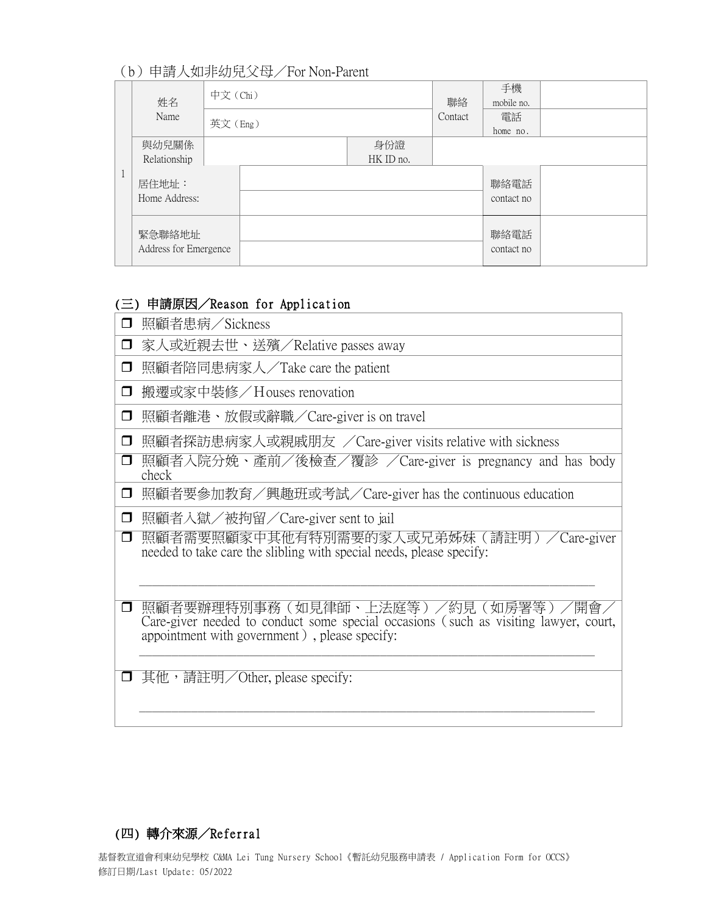# (b)申請人如非幼兒父母/For Non-Parent

|                                 | 姓名                     | 中文 (Chi) |         |                  | 聯絡                 | 手機<br>mobile no.   |  |
|---------------------------------|------------------------|----------|---------|------------------|--------------------|--------------------|--|
|                                 | Name                   |          | 英文(Eng) |                  |                    | 電話<br>home no.     |  |
|                                 | 與幼兒關係<br>Relationship  |          |         | 身份證<br>HK ID no. |                    |                    |  |
|                                 | 居住地址:<br>Home Address: |          |         |                  |                    | 聯絡電話<br>contact no |  |
| 緊急聯絡地址<br>Address for Emergence |                        |          |         |                  | 聯絡電話<br>contact no |                    |  |

### (三) 申請原因/Reason for Application

| $\Box$ | 照顧者患病/Sickness                                                                                                                                                              |
|--------|-----------------------------------------------------------------------------------------------------------------------------------------------------------------------------|
| $\Box$ | 家人或近親去世、送殯/Relative passes away                                                                                                                                             |
| $\Box$ | 照顧者陪同患病家人/Take care the patient                                                                                                                                             |
| $\Box$ | 搬遷或家中裝修/Houses renovation                                                                                                                                                   |
| $\Box$ | 照顧者離港、放假或辭職/Care-giver is on travel                                                                                                                                         |
| $\Box$ | 照顧者探訪患病家人或親戚朋友 /Care-giver visits relative with sickness                                                                                                                    |
| $\Box$ | 照顧者入院分娩、產前/後檢查/覆診 /Care-giver is pregnancy and has body<br>check                                                                                                            |
| $\Box$ | 照顧者要參加教育/興趣班或考試/Care-giver has the continuous education                                                                                                                     |
| $\Box$ | 照顧者入獄/被拘留/Care-giver sent to jail                                                                                                                                           |
| $\Box$ | 照顧者需要照顧家中其他有特別需要的家人或兄弟姊妹(請註明)/Care-giver<br>needed to take care the slibling with special needs, please specify:                                                            |
|        | 照顧者要辦理特別事務(如見律師、上法庭等)/約見(如房署等)/開會〟<br>Care-giver needed to conduct some special occasions (such as visiting lawyer, court,<br>appointment with government), please specify: |
| $\Box$ | 其他, 請註明/Other, please specify:                                                                                                                                              |

## (四) 轉介來源/Referral

基督教宣道會利東幼兒學校 C&MA Lei Tung Nursery School《暫託幼兒服務申請表 / Application Form for OCCS》 修訂日期/Last Update: 05/2022